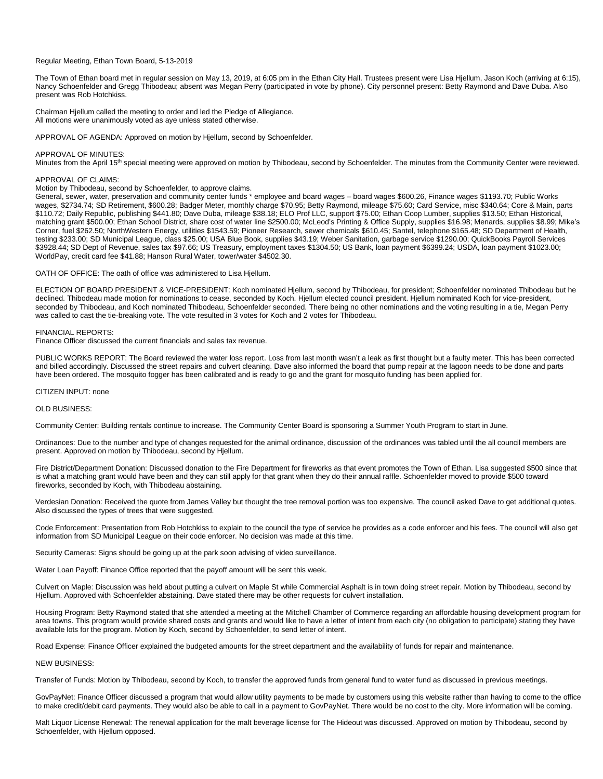## Regular Meeting, Ethan Town Board, 5-13-2019

The Town of Ethan board met in regular session on May 13, 2019, at 6:05 pm in the Ethan City Hall. Trustees present were Lisa Hjellum, Jason Koch (arriving at 6:15), Nancy Schoenfelder and Gregg Thibodeau; absent was Megan Perry (participated in vote by phone). City personnel present: Betty Raymond and Dave Duba. Also present was Rob Hotchkiss.

Chairman Hjellum called the meeting to order and led the Pledge of Allegiance. All motions were unanimously voted as aye unless stated otherwise.

APPROVAL OF AGENDA: Approved on motion by Hjellum, second by Schoenfelder.

### APPROVAL OF MINUTES:

Minutes from the April 15<sup>th</sup> special meeting were approved on motion by Thibodeau, second by Schoenfelder. The minutes from the Community Center were reviewed.

### APPROVAL OF CLAIMS:

Motion by Thibodeau, second by Schoenfelder, to approve claims.

General, sewer, water, preservation and community center funds \* employee and board wages – board wages \$600.26, Finance wages \$1193.70; Public Works wages, \$2734.74; SD Retirement, \$600.28; Badger Meter, monthly charge \$70.95; Betty Raymond, mileage \$75.60; Card Service, misc \$340.64; Core & Main, parts \$110.72; Daily Republic, publishing \$441.80; Dave Duba, mileage \$38.18; ELO Prof LLC, support \$75.00; Ethan Coop Lumber, supplies \$13.50; Ethan Historical, matching grant \$500.00; Ethan School District, share cost of water line \$2500.00; McLeod's Printing & Office Supply, supplies \$16.98; Menards, supplies \$8.99; Mike's Corner, fuel \$262.50; NorthWestern Energy, utilities \$1543.59; Pioneer Research, sewer chemicals \$610.45; Santel, telephone \$165.48; SD Department of Health, testing \$233.00; SD Municipal League, class \$25.00; USA Blue Book, supplies \$43.19; Weber Sanitation, garbage service \$1290.00; QuickBooks Payroll Services \$3928.44; SD Dept of Revenue, sales tax \$97.66; US Treasury, employment taxes \$1304.50; US Bank, loan payment \$6399.24; USDA, loan payment \$1023.00; WorldPay, credit card fee \$41.88; Hanson Rural Water, tower/water \$4502.30.

OATH OF OFFICE: The oath of office was administered to Lisa Hjellum.

ELECTION OF BOARD PRESIDENT & VICE-PRESIDENT: Koch nominated Hjellum, second by Thibodeau, for president; Schoenfelder nominated Thibodeau but he declined. Thibodeau made motion for nominations to cease, seconded by Koch. Hjellum elected council president. Hjellum nominated Koch for vice-president, seconded by Thibodeau, and Koch nominated Thibodeau, Schoenfelder seconded. There being no other nominations and the voting resulting in a tie, Megan Perry was called to cast the tie-breaking vote. The vote resulted in 3 votes for Koch and 2 votes for Thibodeau.

#### FINANCIAL REPORTS:

Finance Officer discussed the current financials and sales tax revenue.

PUBLIC WORKS REPORT: The Board reviewed the water loss report. Loss from last month wasn't a leak as first thought but a faulty meter. This has been corrected and billed accordingly. Discussed the street repairs and culvert cleaning. Dave also informed the board that pump repair at the lagoon needs to be done and parts have been ordered. The mosquito fogger has been calibrated and is ready to go and the grant for mosquito funding has been applied for.

## CITIZEN INPUT: none

# OLD BUSINESS:

Community Center: Building rentals continue to increase. The Community Center Board is sponsoring a Summer Youth Program to start in June.

Ordinances: Due to the number and type of changes requested for the animal ordinance, discussion of the ordinances was tabled until the all council members are present. Approved on motion by Thibodeau, second by Hjellum.

Fire District/Department Donation: Discussed donation to the Fire Department for fireworks as that event promotes the Town of Ethan. Lisa suggested \$500 since that is what a matching grant would have been and they can still apply for that grant when they do their annual raffle. Schoenfelder moved to provide \$500 toward fireworks, seconded by Koch, with Thibodeau abstaining.

Verdesian Donation: Received the quote from James Valley but thought the tree removal portion was too expensive. The council asked Dave to get additional quotes. Also discussed the types of trees that were suggested.

Code Enforcement: Presentation from Rob Hotchkiss to explain to the council the type of service he provides as a code enforcer and his fees. The council will also get information from SD Municipal League on their code enforcer. No decision was made at this time.

Security Cameras: Signs should be going up at the park soon advising of video surveillance.

Water Loan Payoff: Finance Office reported that the payoff amount will be sent this week.

Culvert on Maple: Discussion was held about putting a culvert on Maple St while Commercial Asphalt is in town doing street repair. Motion by Thibodeau, second by Hjellum. Approved with Schoenfelder abstaining. Dave stated there may be other requests for culvert installation.

Housing Program: Betty Raymond stated that she attended a meeting at the Mitchell Chamber of Commerce regarding an affordable housing development program for area towns. This program would provide shared costs and grants and would like to have a letter of intent from each city (no obligation to participate) stating they have available lots for the program. Motion by Koch, second by Schoenfelder, to send letter of intent.

Road Expense: Finance Officer explained the budgeted amounts for the street department and the availability of funds for repair and maintenance.

# NEW BUSINESS:

Transfer of Funds: Motion by Thibodeau, second by Koch, to transfer the approved funds from general fund to water fund as discussed in previous meetings.

GovPayNet: Finance Officer discussed a program that would allow utility payments to be made by customers using this website rather than having to come to the office to make credit/debit card payments. They would also be able to call in a payment to GovPayNet. There would be no cost to the city. More information will be coming.

Malt Liquor License Renewal: The renewal application for the malt beverage license for The Hideout was discussed. Approved on motion by Thibodeau, second by Schoenfelder, with Hjellum opposed.